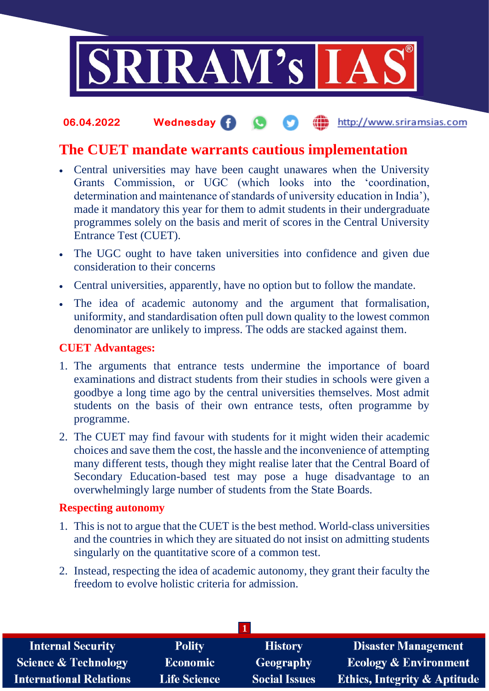

#### **06.04.2022 Wednesday** the http://www.sriramsias.com

# **The CUET mandate warrants cautious implementation**

- Central universities may have been caught unawares when the University Grants Commission, or UGC (which looks into the 'coordination, determination and maintenance of standards of university education in India'), made it mandatory this year for them to admit students in their undergraduate programmes solely on the basis and merit of scores in the Central University Entrance Test (CUET).
- The UGC ought to have taken universities into confidence and given due consideration to their concerns
- Central universities, apparently, have no option but to follow the mandate.
- The idea of academic autonomy and the argument that formalisation, uniformity, and standardisation often pull down quality to the lowest common denominator are unlikely to impress. The odds are stacked against them.

## **CUET Advantages:**

- 1. The arguments that entrance tests undermine the importance of board examinations and distract students from their studies in schools were given a goodbye a long time ago by the central universities themselves. Most admit students on the basis of their own entrance tests, often programme by programme.
- 2. The CUET may find favour with students for it might widen their academic choices and save them the cost, the hassle and the inconvenience of attempting many different tests, though they might realise later that the Central Board of Secondary Education-based test may pose a huge disadvantage to an overwhelmingly large number of students from the State Boards.

## **Respecting autonomy**

- 1. This is not to argue that the CUET is the best method. World-class universities and the countries in which they are situated do not insist on admitting students singularly on the quantitative score of a common test.
- 2. Instead, respecting the idea of academic autonomy, they grant their faculty the freedom to evolve holistic criteria for admission.

| <b>Internal Security</b>        | <b>Polity</b>       | <b>History</b>       | <b>Disaster Management</b>              |
|---------------------------------|---------------------|----------------------|-----------------------------------------|
| <b>Science &amp; Technology</b> | <b>Economic</b>     | <b>Geography</b>     | <b>Ecology &amp; Environment</b>        |
| <b>International Relations</b>  | <b>Life Science</b> | <b>Social Issues</b> | <b>Ethics, Integrity &amp; Aptitude</b> |